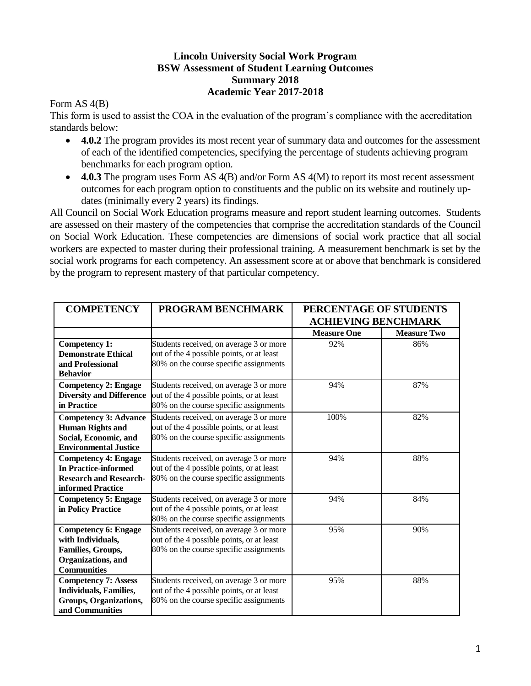## **Lincoln University Social Work Program BSW Assessment of Student Learning Outcomes Summary 2018 Academic Year 2017-2018**

Form AS 4(B)

This form is used to assist the COA in the evaluation of the program's compliance with the accreditation standards below:

- **4.0.2** The program provides its most recent year of summary data and outcomes for the assessment of each of the identified competencies, specifying the percentage of students achieving program benchmarks for each program option.
- **4.0.3** The program uses Form AS 4(B) and/or Form AS 4(M) to report its most recent assessment outcomes for each program option to constituents and the public on its website and routinely updates (minimally every 2 years) its findings.

All Council on Social Work Education programs measure and report student learning outcomes. Students are assessed on their mastery of the competencies that comprise the accreditation standards of the Council on Social Work Education. These competencies are dimensions of social work practice that all social workers are expected to master during their professional training. A measurement benchmark is set by the social work programs for each competency. An assessment score at or above that benchmark is considered by the program to represent mastery of that particular competency.

| <b>COMPETENCY</b>                                                                                                 | PROGRAM BENCHMARK                                                                                                              | PERCENTAGE OF STUDENTS<br><b>ACHIEVING BENCHMARK</b> |                    |
|-------------------------------------------------------------------------------------------------------------------|--------------------------------------------------------------------------------------------------------------------------------|------------------------------------------------------|--------------------|
|                                                                                                                   |                                                                                                                                | <b>Measure One</b>                                   | <b>Measure Two</b> |
| <b>Competency 1:</b><br><b>Demonstrate Ethical</b><br>and Professional<br><b>Behavior</b>                         | Students received, on average 3 or more<br>out of the 4 possible points, or at least<br>80% on the course specific assignments | 92%                                                  | 86%                |
| <b>Competency 2: Engage</b><br><b>Diversity and Difference</b><br>in Practice                                     | Students received, on average 3 or more<br>out of the 4 possible points, or at least<br>80% on the course specific assignments | 94%                                                  | 87%                |
| <b>Competency 3: Advance</b><br><b>Human Rights and</b><br>Social, Economic, and<br><b>Environmental Justice</b>  | Students received, on average 3 or more<br>out of the 4 possible points, or at least<br>80% on the course specific assignments | 100%                                                 | 82%                |
| <b>Competency 4: Engage</b><br><b>In Practice-informed</b><br><b>Research and Research-</b><br>informed Practice  | Students received, on average 3 or more<br>out of the 4 possible points, or at least<br>80% on the course specific assignments | 94%                                                  | 88%                |
| <b>Competency 5: Engage</b><br>in Policy Practice                                                                 | Students received, on average 3 or more<br>out of the 4 possible points, or at least<br>80% on the course specific assignments | 94%                                                  | 84%                |
| <b>Competency 6: Engage</b><br>with Individuals,<br>Families, Groups,<br>Organizations, and<br><b>Communities</b> | Students received, on average 3 or more<br>out of the 4 possible points, or at least<br>80% on the course specific assignments | 95%                                                  | 90%                |
| <b>Competency 7: Assess</b><br>Individuals, Families,<br>Groups, Organizations,<br>and Communities                | Students received, on average 3 or more<br>out of the 4 possible points, or at least<br>80% on the course specific assignments | 95%                                                  | 88%                |